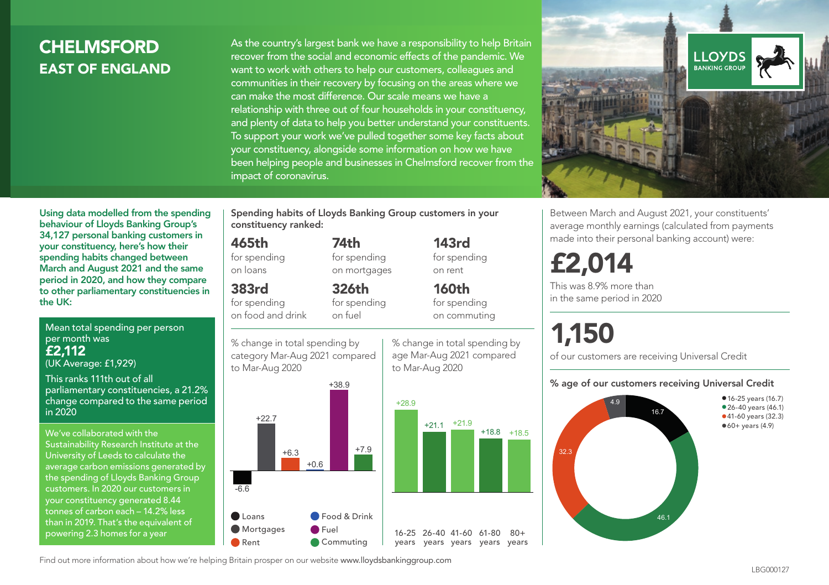## **CHELMSFORD** EAST OF ENGLAND

As the country's largest bank we have a responsibility to help Britain recover from the social and economic effects of the pandemic. We want to work with others to help our customers, colleagues and communities in their recovery by focusing on the areas where we can make the most difference. Our scale means we have a relationship with three out of four households in your constituency, and plenty of data to help you better understand your constituents. To support your work we've pulled together some key facts about your constituency, alongside some information on how we have been helping people and businesses in Chelmsford recover from the impact of coronavirus.



Using data modelled from the spending behaviour of Lloyds Banking Group's 34,127 personal banking customers in your constituency, here's how their spending habits changed between March and August 2021 and the same period in 2020, and how they compare to other parliamentary constituencies in the UK:

Mean total spending per person per month was £2,112 (UK Average: £1,929)

This ranks 111th out of all parliamentary constituencies, a 21.2% change compared to the same period in 2020

We've collaborated with the Sustainability Research Institute at the University of Leeds to calculate the average carbon emissions generated by the spending of Lloyds Banking Group customers. In 2020 our customers in your constituency generated 8.44 tonnes of carbon each – 14.2% less than in 2019. That's the equivalent of powering 2.3 homes for a year

Spending habits of Lloyds Banking Group customers in your constituency ranked:

> 74th for spending on mortgages

326th

#### 465th for spending

on loans

383rd

for spending on food and drink for spending on fuel





143rd for spending on rent

160th for spending on commuting

% change in total spending by age Mar-Aug 2021 compared to Mar-Aug 2020



 $80 +$ 

Between March and August 2021, your constituents' average monthly earnings (calculated from payments made into their personal banking account) were:

## £2,014

This was 8.9% more than in the same period in 2020

# 1,150

of our customers are receiving Universal Credit

#### % age of our customers receiving Universal Credit



Find out more information about how we're helping Britain prosper on our website www.lloydsbankinggroup.com